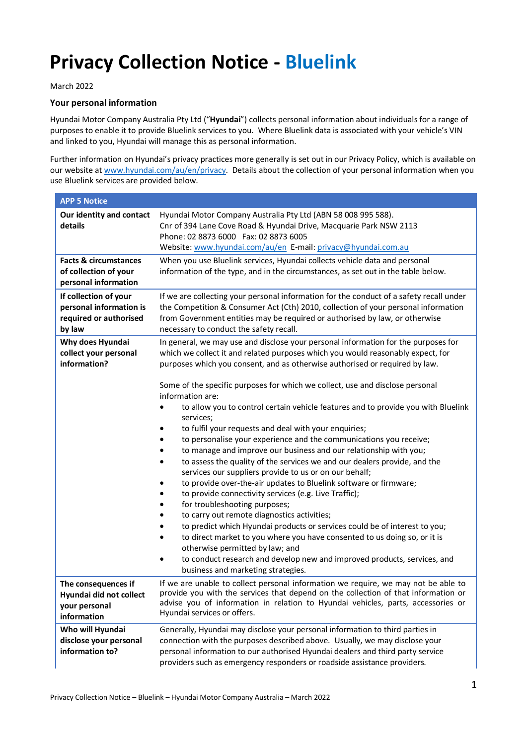## **Privacy Collection Notice - Bluelink**

## March 2022

## **Your personal information**

Hyundai Motor Company Australia Pty Ltd ("**Hyundai**") collects personal information about individuals for a range of purposes to enable it to provide Bluelink services to you. Where Bluelink data is associated with your vehicle's VIN and linked to you, Hyundai will manage this as personal information.

Further information on Hyundai's privacy practices more generally is set out in our Privacy Policy, which is available on our website at www.hyundai.com/au/en/privacy. Details about the collection of your personal information when you use Bluelink services are provided below.

| <b>APP 5 Notice</b>                                                                  |                                                                                                                                                                                                                                                                                                                                                                                                                                                                                                                                                                                                                                                                                                                                                                                                                                                                                                                                                                                                                                                                              |  |
|--------------------------------------------------------------------------------------|------------------------------------------------------------------------------------------------------------------------------------------------------------------------------------------------------------------------------------------------------------------------------------------------------------------------------------------------------------------------------------------------------------------------------------------------------------------------------------------------------------------------------------------------------------------------------------------------------------------------------------------------------------------------------------------------------------------------------------------------------------------------------------------------------------------------------------------------------------------------------------------------------------------------------------------------------------------------------------------------------------------------------------------------------------------------------|--|
| Our identity and contact<br>details                                                  | Hyundai Motor Company Australia Pty Ltd (ABN 58 008 995 588).<br>Cnr of 394 Lane Cove Road & Hyundai Drive, Macquarie Park NSW 2113<br>Phone: 02 8873 6000 Fax: 02 8873 6005<br>Website: www.hyundai.com/au/en E-mail: privacy@hyundai.com.au                                                                                                                                                                                                                                                                                                                                                                                                                                                                                                                                                                                                                                                                                                                                                                                                                                |  |
| <b>Facts &amp; circumstances</b><br>of collection of your<br>personal information    | When you use Bluelink services, Hyundai collects vehicle data and personal<br>information of the type, and in the circumstances, as set out in the table below.                                                                                                                                                                                                                                                                                                                                                                                                                                                                                                                                                                                                                                                                                                                                                                                                                                                                                                              |  |
| If collection of your<br>personal information is<br>required or authorised<br>by law | If we are collecting your personal information for the conduct of a safety recall under<br>the Competition & Consumer Act (Cth) 2010, collection of your personal information<br>from Government entities may be required or authorised by law, or otherwise<br>necessary to conduct the safety recall.                                                                                                                                                                                                                                                                                                                                                                                                                                                                                                                                                                                                                                                                                                                                                                      |  |
| Why does Hyundai<br>collect your personal<br>information?                            | In general, we may use and disclose your personal information for the purposes for<br>which we collect it and related purposes which you would reasonably expect, for<br>purposes which you consent, and as otherwise authorised or required by law.                                                                                                                                                                                                                                                                                                                                                                                                                                                                                                                                                                                                                                                                                                                                                                                                                         |  |
|                                                                                      | Some of the specific purposes for which we collect, use and disclose personal<br>information are:<br>to allow you to control certain vehicle features and to provide you with Bluelink<br>services;<br>to fulfil your requests and deal with your enquiries;<br>to personalise your experience and the communications you receive;<br>to manage and improve our business and our relationship with you;<br>to assess the quality of the services we and our dealers provide, and the<br>services our suppliers provide to us or on our behalf;<br>to provide over-the-air updates to Bluelink software or firmware;<br>to provide connectivity services (e.g. Live Traffic);<br>for troubleshooting purposes;<br>to carry out remote diagnostics activities;<br>to predict which Hyundai products or services could be of interest to you;<br>to direct market to you where you have consented to us doing so, or it is<br>otherwise permitted by law; and<br>to conduct research and develop new and improved products, services, and<br>business and marketing strategies. |  |
| The consequences if<br>Hyundai did not collect<br>your personal<br>information       | If we are unable to collect personal information we require, we may not be able to<br>provide you with the services that depend on the collection of that information or<br>advise you of information in relation to Hyundai vehicles, parts, accessories or<br>Hyundai services or offers.                                                                                                                                                                                                                                                                                                                                                                                                                                                                                                                                                                                                                                                                                                                                                                                  |  |
| Who will Hyundai<br>disclose your personal<br>information to?                        | Generally, Hyundai may disclose your personal information to third parties in<br>connection with the purposes described above. Usually, we may disclose your<br>personal information to our authorised Hyundai dealers and third party service<br>providers such as emergency responders or roadside assistance providers.                                                                                                                                                                                                                                                                                                                                                                                                                                                                                                                                                                                                                                                                                                                                                   |  |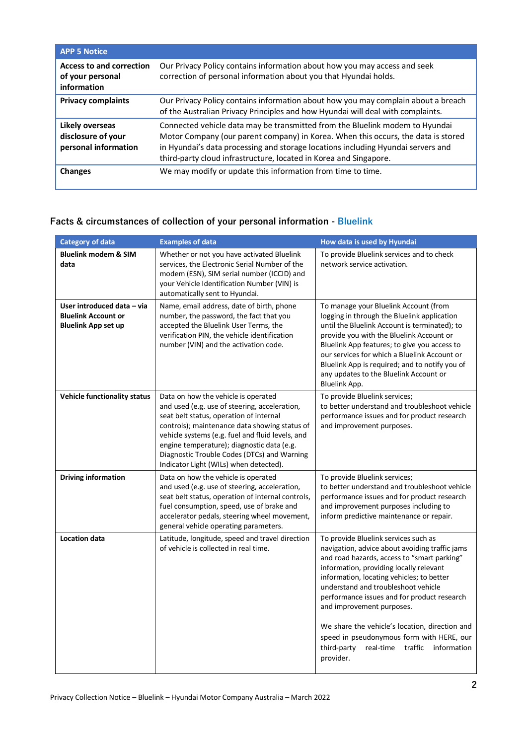| <b>APP 5 Notice</b>                                                |                                                                                                                                                                                                                                                                                                                            |
|--------------------------------------------------------------------|----------------------------------------------------------------------------------------------------------------------------------------------------------------------------------------------------------------------------------------------------------------------------------------------------------------------------|
| <b>Access to and correction</b><br>of your personal<br>information | Our Privacy Policy contains information about how you may access and seek<br>correction of personal information about you that Hyundai holds.                                                                                                                                                                              |
| <b>Privacy complaints</b>                                          | Our Privacy Policy contains information about how you may complain about a breach<br>of the Australian Privacy Principles and how Hyundai will deal with complaints.                                                                                                                                                       |
| Likely overseas<br>disclosure of your<br>personal information      | Connected vehicle data may be transmitted from the Bluelink modem to Hyundai<br>Motor Company (our parent company) in Korea. When this occurs, the data is stored<br>in Hyundai's data processing and storage locations including Hyundai servers and<br>third-party cloud infrastructure, located in Korea and Singapore. |
| <b>Changes</b>                                                     | We may modify or update this information from time to time.                                                                                                                                                                                                                                                                |

## **Facts & circumstances of collection of your personal information - Bluelink**

| <b>Category of data</b>                                                                | <b>Examples of data</b>                                                                                                                                                                                                                                                                                                                                                     | How data is used by Hyundai                                                                                                                                                                                                                                                                                                                                                                                                                                                                                  |
|----------------------------------------------------------------------------------------|-----------------------------------------------------------------------------------------------------------------------------------------------------------------------------------------------------------------------------------------------------------------------------------------------------------------------------------------------------------------------------|--------------------------------------------------------------------------------------------------------------------------------------------------------------------------------------------------------------------------------------------------------------------------------------------------------------------------------------------------------------------------------------------------------------------------------------------------------------------------------------------------------------|
| <b>Bluelink modem &amp; SIM</b><br>data                                                | Whether or not you have activated Bluelink<br>services, the Electronic Serial Number of the<br>modem (ESN), SIM serial number (ICCID) and<br>your Vehicle Identification Number (VIN) is<br>automatically sent to Hyundai.                                                                                                                                                  | To provide Bluelink services and to check<br>network service activation.                                                                                                                                                                                                                                                                                                                                                                                                                                     |
| User introduced data - via<br><b>Bluelink Account or</b><br><b>Bluelink App set up</b> | Name, email address, date of birth, phone<br>number, the password, the fact that you<br>accepted the Bluelink User Terms, the<br>verification PIN, the vehicle identification<br>number (VIN) and the activation code.                                                                                                                                                      | To manage your Bluelink Account (from<br>logging in through the Bluelink application<br>until the Bluelink Account is terminated); to<br>provide you with the Bluelink Account or<br>Bluelink App features; to give you access to<br>our services for which a Bluelink Account or<br>Bluelink App is required; and to notify you of<br>any updates to the Bluelink Account or<br>Bluelink App.                                                                                                               |
| <b>Vehicle functionality status</b>                                                    | Data on how the vehicle is operated<br>and used (e.g. use of steering, acceleration,<br>seat belt status, operation of internal<br>controls); maintenance data showing status of<br>vehicle systems (e.g. fuel and fluid levels, and<br>engine temperature); diagnostic data (e.g.<br>Diagnostic Trouble Codes (DTCs) and Warning<br>Indicator Light (WILs) when detected). | To provide Bluelink services;<br>to better understand and troubleshoot vehicle<br>performance issues and for product research<br>and improvement purposes.                                                                                                                                                                                                                                                                                                                                                   |
| <b>Driving information</b>                                                             | Data on how the vehicle is operated<br>and used (e.g. use of steering, acceleration,<br>seat belt status, operation of internal controls,<br>fuel consumption, speed, use of brake and<br>accelerator pedals, steering wheel movement,<br>general vehicle operating parameters.                                                                                             | To provide Bluelink services;<br>to better understand and troubleshoot vehicle<br>performance issues and for product research<br>and improvement purposes including to<br>inform predictive maintenance or repair.                                                                                                                                                                                                                                                                                           |
| <b>Location data</b>                                                                   | Latitude, longitude, speed and travel direction<br>of vehicle is collected in real time.                                                                                                                                                                                                                                                                                    | To provide Bluelink services such as<br>navigation, advice about avoiding traffic jams<br>and road hazards, access to "smart parking"<br>information, providing locally relevant<br>information, locating vehicles; to better<br>understand and troubleshoot vehicle<br>performance issues and for product research<br>and improvement purposes.<br>We share the vehicle's location, direction and<br>speed in pseudonymous form with HERE, our<br>real-time traffic information<br>third-party<br>provider. |